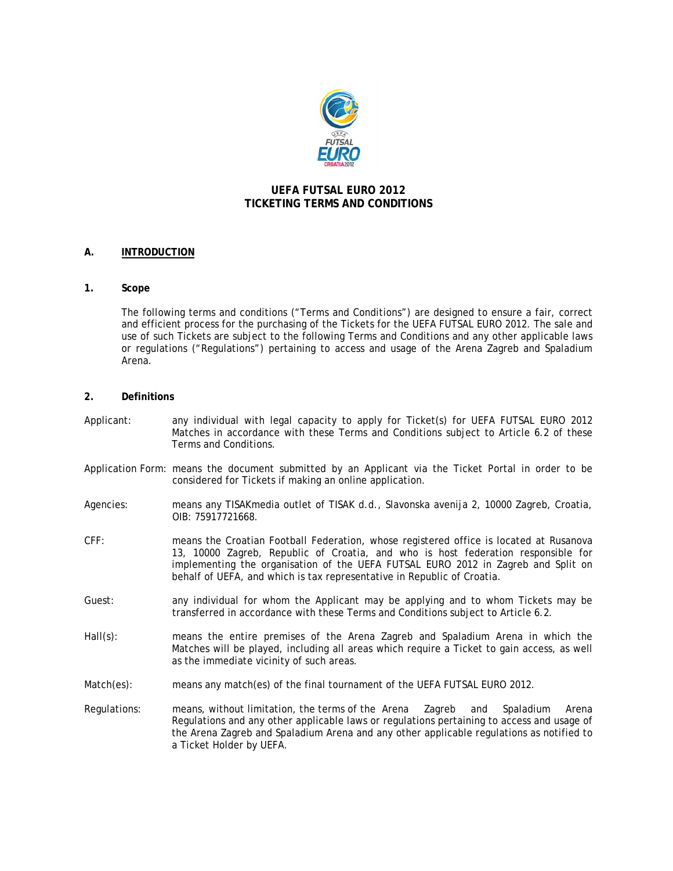

# **UEFA FUTSAL EURO 2012 TICKETING TERMS AND CONDITIONS**

# **A. INTRODUCTION**

## **1. Scope**

The following terms and conditions ("Terms and Conditions") are designed to ensure a fair, correct and efficient process for the purchasing of the Tickets for the UEFA FUTSAL EURO 2012. The sale and use of such Tickets are subject to the following Terms and Conditions and any other applicable laws or regulations ("Regulations") pertaining to access and usage of the Arena Zagreb and Spaladium Arena.

## **2. Definitions**

- Applicant: any individual with legal capacity to apply for Ticket(s) for UEFA FUTSAL EURO 2012 Matches in accordance with these Terms and Conditions subject to Article 6.2 of these Terms and Conditions.
- Application Form: means the document submitted by an Applicant via the Ticket Portal in order to be considered for Tickets if making an online application.
- Agencies: means any TISAKmedia outlet of TISAK d.d., Slavonska avenija 2, 10000 Zagreb, Croatia, OIB: 75917721668.
- CFF: means the Croatian Football Federation, whose registered office is located at Rusanova 13, 10000 Zagreb, Republic of Croatia, and who is host federation responsible for implementing the organisation of the UEFA FUTSAL EURO 2012 in Zagreb and Split on behalf of UEFA, and which is tax representative in Republic of Croatia.
- Guest: any individual for whom the Applicant may be applying and to whom Tickets may be transferred in accordance with these Terms and Conditions subject to Article 6.2.
- Hall(s): means the entire premises of the Arena Zagreb and Spaladium Arena in which the Matches will be played, including all areas which require a Ticket to gain access, as well as the immediate vicinity of such areas.
- Match(es): means any match(es) of the final tournament of the UEFA FUTSAL EURO 2012.
- Regulations: means, without limitation, the terms of the Arena Zagreb and Spaladium Arena Regulations and any other applicable laws or regulations pertaining to access and usage of the Arena Zagreb and Spaladium Arena and any other applicable regulations as notified to a Ticket Holder by UEFA.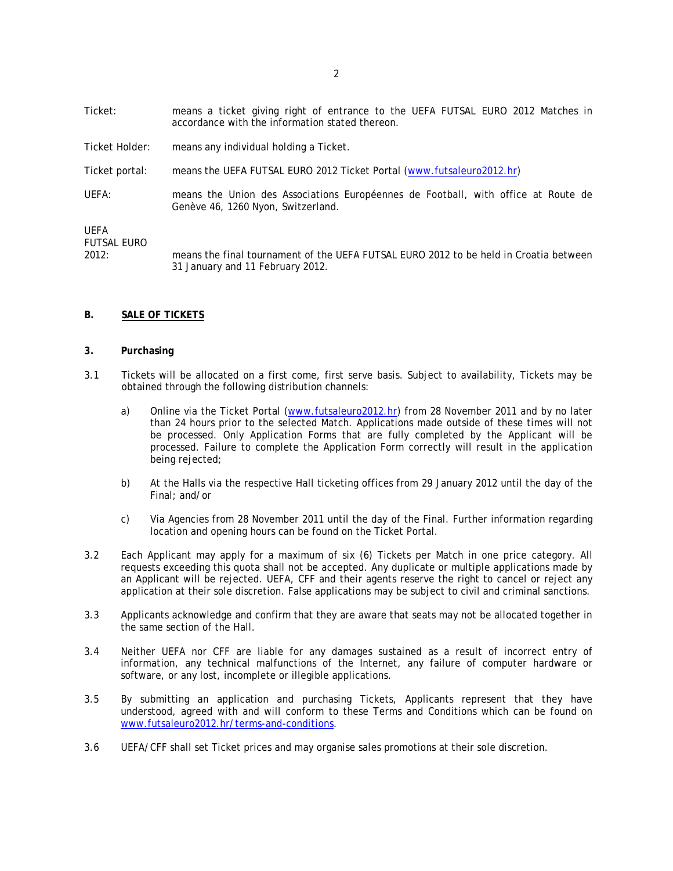- Ticket: means a ticket giving right of entrance to the UEFA FUTSAL EURO 2012 Matches in accordance with the information stated thereon.
- Ticket Holder: means any individual holding a Ticket.
- Ticket portal: means the UEFA FUTSAL EURO 2012 Ticket Portal (www.futsaleuro2012.hr)
- UEFA: means the Union des Associations Européennes de Football, with office at Route de Genève 46, 1260 Nyon, Switzerland.

UEFA FUTSAL EURO

2012: means the final tournament of the UEFA FUTSAL EURO 2012 to be held in Croatia between 31 January and 11 February 2012.

## **B. SALE OF TICKETS**

#### **3. Purchasing**

- 3.1 Tickets will be allocated on a first come, first serve basis. Subject to availability, Tickets may be obtained through the following distribution channels:
	- a) Online via the Ticket Portal (www.futsaleuro2012.hr) from 28 November 2011 and by no later than 24 hours prior to the selected Match. Applications made outside of these times will not be processed. Only Application Forms that are fully completed by the Applicant will be processed. Failure to complete the Application Form correctly will result in the application being rejected;
	- b) At the Halls via the respective Hall ticketing offices from 29 January 2012 until the day of the Final; and/or
	- c) Via Agencies from 28 November 2011 until the day of the Final. Further information regarding location and opening hours can be found on the Ticket Portal.
- 3.2 Each Applicant may apply for a maximum of six (6) Tickets per Match in one price category. All requests exceeding this quota shall not be accepted. Any duplicate or multiple applications made by an Applicant will be rejected. UEFA, CFF and their agents reserve the right to cancel or reject any application at their sole discretion. False applications may be subject to civil and criminal sanctions.
- 3.3 Applicants acknowledge and confirm that they are aware that seats may not be allocated together in the same section of the Hall.
- 3.4 Neither UEFA nor CFF are liable for any damages sustained as a result of incorrect entry of information, any technical malfunctions of the Internet, any failure of computer hardware or software, or any lost, incomplete or illegible applications.
- 3.5 By submitting an application and purchasing Tickets, Applicants represent that they have understood, agreed with and will conform to these Terms and Conditions which can be found on www.futsaleuro2012.hr/terms-and-conditions.
- 3.6 UEFA/CFF shall set Ticket prices and may organise sales promotions at their sole discretion.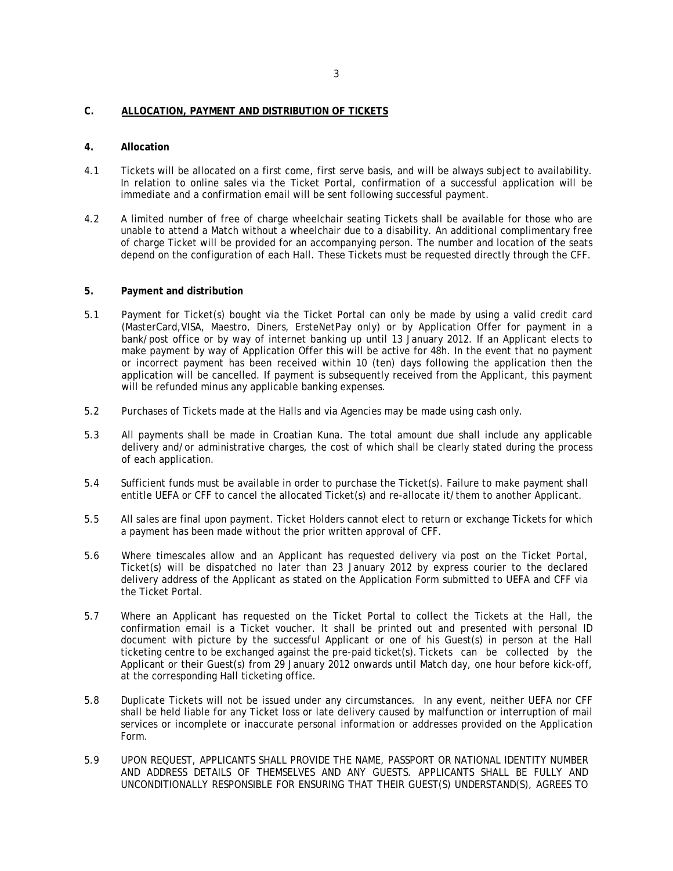## **C. ALLOCATION, PAYMENT AND DISTRIBUTION OF TICKETS**

### **4. Allocation**

- 4.1 Tickets will be allocated on a first come, first serve basis, and will be always subject to availability. In relation to online sales via the Ticket Portal, confirmation of a successful application will be immediate and a confirmation email will be sent following successful payment.
- 4.2 A limited number of free of charge wheelchair seating Tickets shall be available for those who are unable to attend a Match without a wheelchair due to a disability. An additional complimentary free of charge Ticket will be provided for an accompanying person. The number and location of the seats depend on the configuration of each Hall. These Tickets must be requested directly through the CFF.

### **5. Payment and distribution**

- 5.1 Payment for Ticket(s) bought via the Ticket Portal can only be made by using a valid credit card (MasterCard,VISA, Maestro, Diners, ErsteNetPay only) or by Application Offer for payment in a bank/post office or by way of internet banking up until 13 January 2012. If an Applicant elects to make payment by way of Application Offer this will be active for 48h. In the event that no payment or incorrect payment has been received within 10 (ten) days following the application then the application will be cancelled. If payment is subsequently received from the Applicant, this payment will be refunded minus any applicable banking expenses.
- 5.2 Purchases of Tickets made at the Halls and via Agencies may be made using cash only.
- 5.3 All payments shall be made in Croatian Kuna. The total amount due shall include any applicable delivery and/or administrative charges, the cost of which shall be clearly stated during the process of each application.
- 5.4 Sufficient funds must be available in order to purchase the Ticket(s). Failure to make payment shall entitle UEFA or CFF to cancel the allocated Ticket(s) and re-allocate it/them to another Applicant.
- 5.5 All sales are final upon payment. Ticket Holders cannot elect to return or exchange Tickets for which a payment has been made without the prior written approval of CFF.
- 5.6 Where timescales allow and an Applicant has requested delivery via post on the Ticket Portal, Ticket(s) will be dispatched no later than 23 January 2012 by express courier to the declared delivery address of the Applicant as stated on the Application Form submitted to UEFA and CFF via the Ticket Portal.
- 5.7 Where an Applicant has requested on the Ticket Portal to collect the Tickets at the Hall, the confirmation email is a Ticket voucher. It shall be printed out and presented with personal ID document with picture by the successful Applicant or one of his Guest(s) in person at the Hall ticketing centre to be exchanged against the pre-paid ticket(s). Tickets can be collected by the Applicant or their Guest(s) from 29 January 2012 onwards until Match day, one hour before kick-off, at the corresponding Hall ticketing office.
- 5.8 Duplicate Tickets will not be issued under any circumstances. In any event, neither UEFA nor CFF shall be held liable for any Ticket loss or late delivery caused by malfunction or interruption of mail services or incomplete or inaccurate personal information or addresses provided on the Application Form.
- 5.9 UPON REQUEST, APPLICANTS SHALL PROVIDE THE NAME, PASSPORT OR NATIONAL IDENTITY NUMBER AND ADDRESS DETAILS OF THEMSELVES AND ANY GUESTS. APPLICANTS SHALL BE FULLY AND UNCONDITIONALLY RESPONSIBLE FOR ENSURING THAT THEIR GUEST(S) UNDERSTAND(S), AGREES TO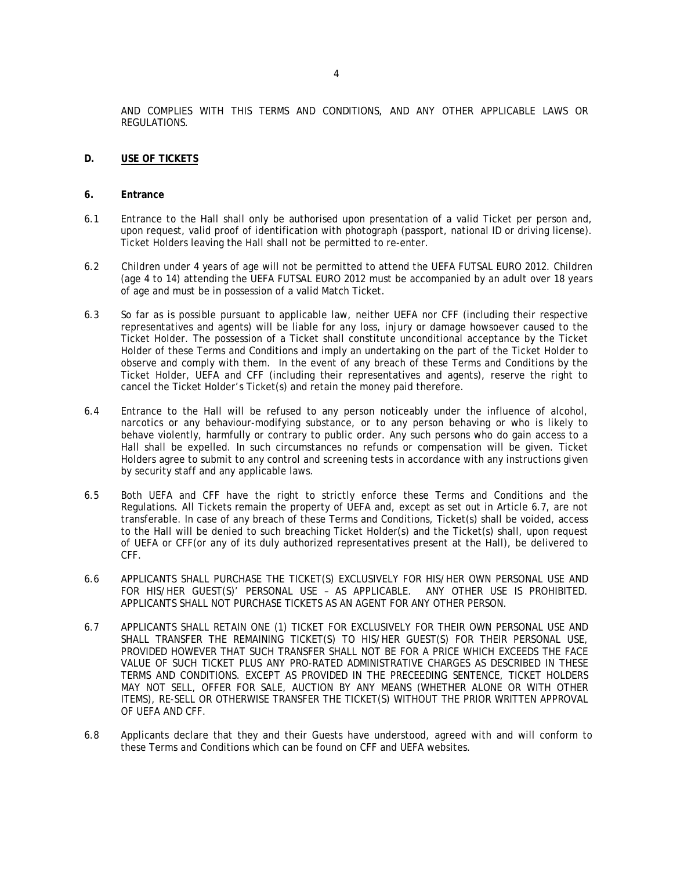AND COMPLIES WITH THIS TERMS AND CONDITIONS, AND ANY OTHER APPLICABLE LAWS OR REGULATIONS.

- **D. USE OF TICKETS**
- **6. Entrance**
- 6.1 Entrance to the Hall shall only be authorised upon presentation of a valid Ticket per person and, upon request, valid proof of identification with photograph (passport, national ID or driving license). Ticket Holders leaving the Hall shall not be permitted to re-enter.
- 6.2 Children under 4 years of age will not be permitted to attend the UEFA FUTSAL EURO 2012. Children (age 4 to 14) attending the UEFA FUTSAL EURO 2012 must be accompanied by an adult over 18 years of age and must be in possession of a valid Match Ticket.
- 6.3 So far as is possible pursuant to applicable law, neither UEFA nor CFF (including their respective representatives and agents) will be liable for any loss, injury or damage howsoever caused to the Ticket Holder. The possession of a Ticket shall constitute unconditional acceptance by the Ticket Holder of these Terms and Conditions and imply an undertaking on the part of the Ticket Holder to observe and comply with them. In the event of any breach of these Terms and Conditions by the Ticket Holder, UEFA and CFF (including their representatives and agents), reserve the right to cancel the Ticket Holder's Ticket(s) and retain the money paid therefore.
- 6.4 Entrance to the Hall will be refused to any person noticeably under the influence of alcohol, narcotics or any behaviour-modifying substance, or to any person behaving or who is likely to behave violently, harmfully or contrary to public order. Any such persons who do gain access to a Hall shall be expelled. In such circumstances no refunds or compensation will be given. Ticket Holders agree to submit to any control and screening tests in accordance with any instructions given by security staff and any applicable laws.
- 6.5 Both UEFA and CFF have the right to strictly enforce these Terms and Conditions and the Regulations. All Tickets remain the property of UEFA and, except as set out in Article 6.7, are not transferable. In case of any breach of these Terms and Conditions, Ticket(s) shall be voided, access to the Hall will be denied to such breaching Ticket Holder(s) and the Ticket(s) shall, upon request of UEFA or CFF(or any of its duly authorized representatives present at the Hall), be delivered to CFF.
- 6.6 APPLICANTS SHALL PURCHASE THE TICKET(S) EXCLUSIVELY FOR HIS/HER OWN PERSONAL USE AND FOR HIS/HER GUEST(S)' PERSONAL USE – AS APPLICABLE. ANY OTHER USE IS PROHIBITED. APPLICANTS SHALL NOT PURCHASE TICKETS AS AN AGENT FOR ANY OTHER PERSON.
- 6.7 APPLICANTS SHALL RETAIN ONE (1) TICKET FOR EXCLUSIVELY FOR THEIR OWN PERSONAL USE AND SHALL TRANSFER THE REMAINING TICKET(S) TO HIS/HER GUEST(S) FOR THEIR PERSONAL USE, PROVIDED HOWEVER THAT SUCH TRANSFER SHALL NOT BE FOR A PRICE WHICH EXCEEDS THE FACE VALUE OF SUCH TICKET PLUS ANY PRO-RATED ADMINISTRATIVE CHARGES AS DESCRIBED IN THESE TERMS AND CONDITIONS. EXCEPT AS PROVIDED IN THE PRECEEDING SENTENCE, TICKET HOLDERS MAY NOT SELL, OFFER FOR SALE, AUCTION BY ANY MEANS (WHETHER ALONE OR WITH OTHER ITEMS), RE-SELL OR OTHERWISE TRANSFER THE TICKET(S) WITHOUT THE PRIOR WRITTEN APPROVAL OF UEFA AND CFF.
- 6.8 Applicants declare that they and their Guests have understood, agreed with and will conform to these Terms and Conditions which can be found on CFF and UEFA websites.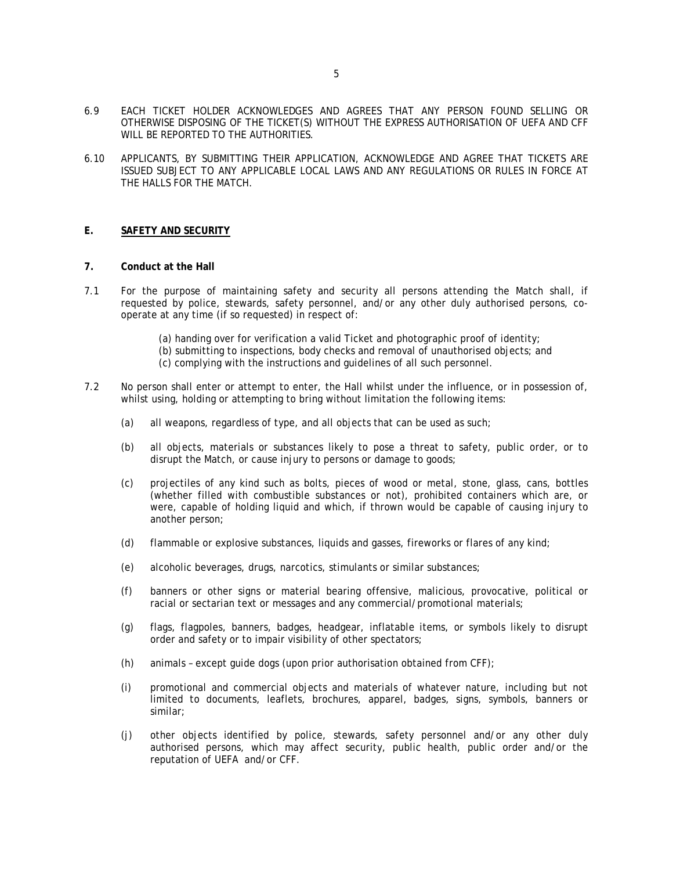- 6.9 EACH TICKET HOLDER ACKNOWLEDGES AND AGREES THAT ANY PERSON FOUND SELLING OR OTHERWISE DISPOSING OF THE TICKET(S) WITHOUT THE EXPRESS AUTHORISATION OF UEFA AND CFF WILL BE REPORTED TO THE AUTHORITIES.
- 6.10 APPLICANTS, BY SUBMITTING THEIR APPLICATION, ACKNOWLEDGE AND AGREE THAT TICKETS ARE ISSUED SUBJECT TO ANY APPLICABLE LOCAL LAWS AND ANY REGULATIONS OR RULES IN FORCE AT THE HALLS FOR THE MATCH.

## **E. SAFETY AND SECURITY**

- **7. Conduct at the Hall**
- 7.1 For the purpose of maintaining safety and security all persons attending the Match shall, if requested by police, stewards, safety personnel, and/or any other duly authorised persons, cooperate at any time (if so requested) in respect of:
	- (a) handing over for verification a valid Ticket and photographic proof of identity; (b) submitting to inspections, body checks and removal of unauthorised objects; and (c) complying with the instructions and guidelines of all such personnel.
- 7.2 No person shall enter or attempt to enter, the Hall whilst under the influence, or in possession of, whilst using, holding or attempting to bring without limitation the following items:
	- (a) all weapons, regardless of type, and all objects that can be used as such;
	- (b) all objects, materials or substances likely to pose a threat to safety, public order, or to disrupt the Match, or cause injury to persons or damage to goods;
	- (c) projectiles of any kind such as bolts, pieces of wood or metal, stone, glass, cans, bottles (whether filled with combustible substances or not), prohibited containers which are, or were, capable of holding liquid and which, if thrown would be capable of causing injury to another person;
	- (d) flammable or explosive substances, liquids and gasses, fireworks or flares of any kind;
	- (e) alcoholic beverages, drugs, narcotics, stimulants or similar substances;
	- (f) banners or other signs or material bearing offensive, malicious, provocative, political or racial or sectarian text or messages and any commercial/promotional materials;
	- (g) flags, flagpoles, banners, badges, headgear, inflatable items, or symbols likely to disrupt order and safety or to impair visibility of other spectators;
	- (h) animals except guide dogs (upon prior authorisation obtained from CFF);
	- (i) promotional and commercial objects and materials of whatever nature, including but not limited to documents, leaflets, brochures, apparel, badges, signs, symbols, banners or similar;
	- (j) other objects identified by police, stewards, safety personnel and/or any other duly authorised persons, which may affect security, public health, public order and/or the reputation of UEFA and/or CFF.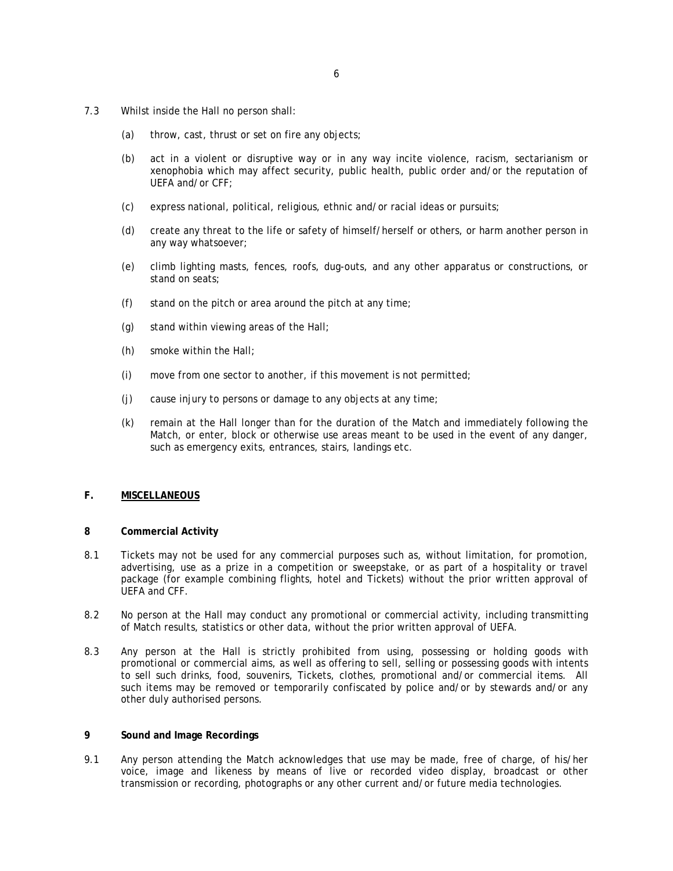- 7.3 Whilst inside the Hall no person shall:
	- (a) throw, cast, thrust or set on fire any objects;
	- (b) act in a violent or disruptive way or in any way incite violence, racism, sectarianism or xenophobia which may affect security, public health, public order and/or the reputation of UEFA and/or CFF;
	- (c) express national, political, religious, ethnic and/or racial ideas or pursuits;
	- (d) create any threat to the life or safety of himself/herself or others, or harm another person in any way whatsoever;
	- (e) climb lighting masts, fences, roofs, dug-outs, and any other apparatus or constructions, or stand on seats;
	- (f) stand on the pitch or area around the pitch at any time;
	- (g) stand within viewing areas of the Hall;
	- (h) smoke within the Hall;
	- (i) move from one sector to another, if this movement is not permitted;
	- (j) cause injury to persons or damage to any objects at any time;
	- (k) remain at the Hall longer than for the duration of the Match and immediately following the Match, or enter, block or otherwise use areas meant to be used in the event of any danger, such as emergency exits, entrances, stairs, landings etc.

## **F. MISCELLANEOUS**

#### **8 Commercial Activity**

- 8.1 Tickets may not be used for any commercial purposes such as, without limitation, for promotion, advertising, use as a prize in a competition or sweepstake, or as part of a hospitality or travel package (for example combining flights, hotel and Tickets) without the prior written approval of UEFA and CFF.
- 8.2 No person at the Hall may conduct any promotional or commercial activity, including transmitting of Match results, statistics or other data, without the prior written approval of UEFA.
- 8.3 Any person at the Hall is strictly prohibited from using, possessing or holding goods with promotional or commercial aims, as well as offering to sell, selling or possessing goods with intents to sell such drinks, food, souvenirs, Tickets, clothes, promotional and/or commercial items. All such items may be removed or temporarily confiscated by police and/or by stewards and/or any other duly authorised persons.

#### **9 Sound and Image Recordings**

9.1 Any person attending the Match acknowledges that use may be made, free of charge, of his/her voice, image and likeness by means of live or recorded video display, broadcast or other transmission or recording, photographs or any other current and/or future media technologies.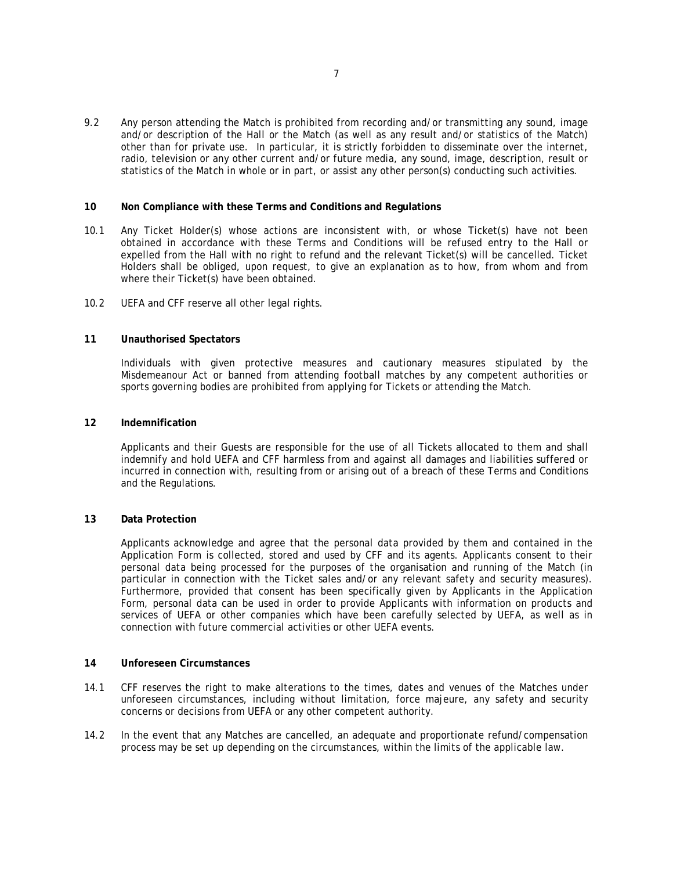9.2 Any person attending the Match is prohibited from recording and/or transmitting any sound, image and/or description of the Hall or the Match (as well as any result and/or statistics of the Match) other than for private use. In particular, it is strictly forbidden to disseminate over the internet, radio, television or any other current and/or future media, any sound, image, description, result or statistics of the Match in whole or in part, or assist any other person(s) conducting such activities.

### **10 Non Compliance with these Terms and Conditions and Regulations**

- 10.1 Any Ticket Holder(s) whose actions are inconsistent with, or whose Ticket(s) have not been obtained in accordance with these Terms and Conditions will be refused entry to the Hall or expelled from the Hall with no right to refund and the relevant Ticket(s) will be cancelled. Ticket Holders shall be obliged, upon request, to give an explanation as to how, from whom and from where their Ticket(s) have been obtained.
- 10.2 UEFA and CFF reserve all other legal rights.

## **11 Unauthorised Spectators**

Individuals with given protective measures and cautionary measures stipulated by the Misdemeanour Act or banned from attending football matches by any competent authorities or sports governing bodies are prohibited from applying for Tickets or attending the Match.

## **12 Indemnification**

Applicants and their Guests are responsible for the use of all Tickets allocated to them and shall indemnify and hold UEFA and CFF harmless from and against all damages and liabilities suffered or incurred in connection with, resulting from or arising out of a breach of these Terms and Conditions and the Regulations.

#### **13 Data Protection**

Applicants acknowledge and agree that the personal data provided by them and contained in the Application Form is collected, stored and used by CFF and its agents. Applicants consent to their personal data being processed for the purposes of the organisation and running of the Match (in particular in connection with the Ticket sales and/or any relevant safety and security measures). Furthermore, provided that consent has been specifically given by Applicants in the Application Form, personal data can be used in order to provide Applicants with information on products and services of UEFA or other companies which have been carefully selected by UEFA, as well as in connection with future commercial activities or other UEFA events.

#### **14 Unforeseen Circumstances**

- 14.1 CFF reserves the right to make alterations to the times, dates and venues of the Matches under unforeseen circumstances, including without limitation, force majeure, any safety and security concerns or decisions from UEFA or any other competent authority.
- 14.2 In the event that any Matches are cancelled, an adequate and proportionate refund/compensation process may be set up depending on the circumstances, within the limits of the applicable law.